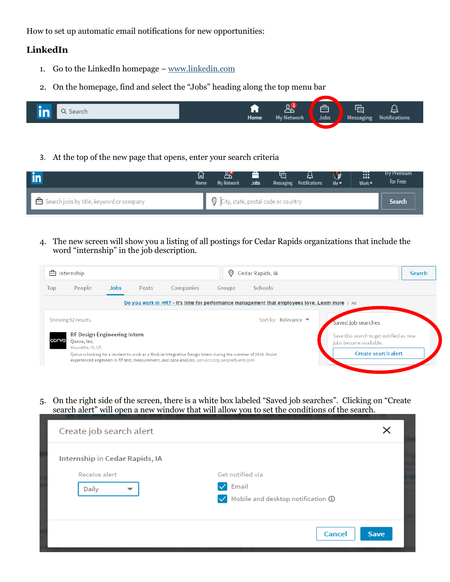How to set up automatic email notifications for new opportunities:

## **LinkedIn**

- 1. Go to the LinkedIn homepage [www.linkedin.com](http://www.linkedin.com/)
- 2. On the homepage, find and select the "Jobs" heading along the top menu bar



3. At the top of the new page that opens, enter your search criteria

|                                                                   | Խ<br>Home | My Network                                  | Jobs | 咱<br>Messaging Notifications | д | $\left( \frac{1}{2} \right)$<br>Me <sub>Y</sub> | W.<br>Work $\blacktriangledown$ | Iry Premium<br>for Free |
|-------------------------------------------------------------------|-----------|---------------------------------------------|------|------------------------------|---|-------------------------------------------------|---------------------------------|-------------------------|
| $\overline{\phantom{a}}$ Search jobs by title, keyword or company |           | $\circ$ City, state, postal code or country |      |                              |   |                                                 |                                 | <b>Search</b>           |

4. The new screen will show you a listing of all postings for Cedar Rapids organizations that include the word "internship" in the job description.



5. On the right side of the screen, there is a white box labeled "Saved job searches". Clicking on "Create search alert" will open a new window that will allow you to set the conditions of the search.

| Create job search alert        |                                                         |
|--------------------------------|---------------------------------------------------------|
| Internship in Cedar Rapids, IA |                                                         |
| Receive alert                  | Get notified via                                        |
| Daily<br>▼                     | Email                                                   |
|                                | Mobile and desktop notification $\odot$<br>$\checkmark$ |
|                                |                                                         |
|                                | Cancel<br><b>Save</b>                                   |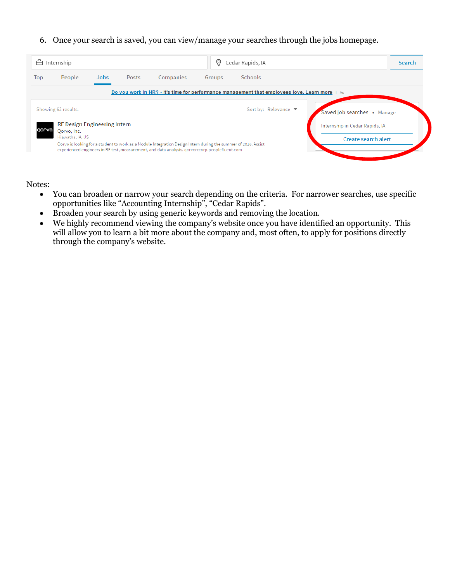6. Once your search is saved, you can view/manage your searches through the jobs homepage.

| People<br><b>Jobs</b><br>Posts<br>Top<br>Showing 62 results. | Companies<br>Groups<br>Do you work in HR? - It's time for performance management that employees love. Learn more   Ad | <b>Schools</b>       |                                |
|--------------------------------------------------------------|-----------------------------------------------------------------------------------------------------------------------|----------------------|--------------------------------|
|                                                              |                                                                                                                       |                      |                                |
|                                                              |                                                                                                                       |                      |                                |
|                                                              |                                                                                                                       | Sort by: Relevance ▼ | Saved job searches • Manage    |
| <b>RF Design Engineering Intern</b><br>QOLVO<br>Qorvo, Inc.  |                                                                                                                       |                      | Internship in Cedar Rapids, IA |
| Hiawatha, IA, US                                             | Qorvo is looking for a student to work as a Module Integration Design Intern during the summer of 2016. Assist        |                      | <b>Create search alert</b>     |

Notes:

- You can broaden or narrow your search depending on the criteria. For narrower searches, use specific opportunities like "Accounting Internship", "Cedar Rapids".
- Broaden your search by using generic keywords and removing the location.
- We highly recommend viewing the company's website once you have identified an opportunity. This will allow you to learn a bit more about the company and, most often, to apply for positions directly through the company's website.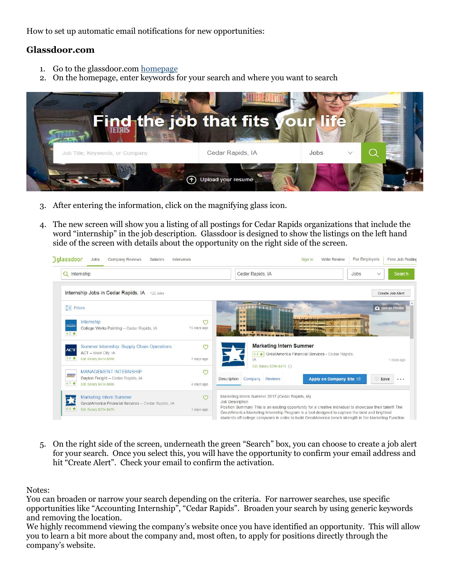How to set up automatic email notifications for new opportunities:

## **Glassdoor.com**

- 1. Go to the glassdoor.com [homepage](https://www.glassdoor.com/index.htm)
- 2. On the homepage, enter keywords for your search and where you want to search



- 3. After entering the information, click on the magnifying glass icon.
- 4. The new screen will show you a listing of all postings for Cedar Rapids organizations that include the word "internship" in the job description. Glassdoor is designed to show the listings on the left hand side of the screen with details about the opportunity on the right side of the screen.



5. On the right side of the screen, underneath the green "Search" box, you can choose to create a job alert for your search. Once you select this, you will have the opportunity to confirm your email address and hit "Create Alert". Check your email to confirm the activation.

Notes:

You can broaden or narrow your search depending on the criteria. For narrower searches, use specific opportunities like "Accounting Internship", "Cedar Rapids". Broaden your search by using generic keywords and removing the location.

We highly recommend viewing the company's website once you have identified an opportunity. This will allow you to learn a bit more about the company and, most often, to apply for positions directly through the company's website.